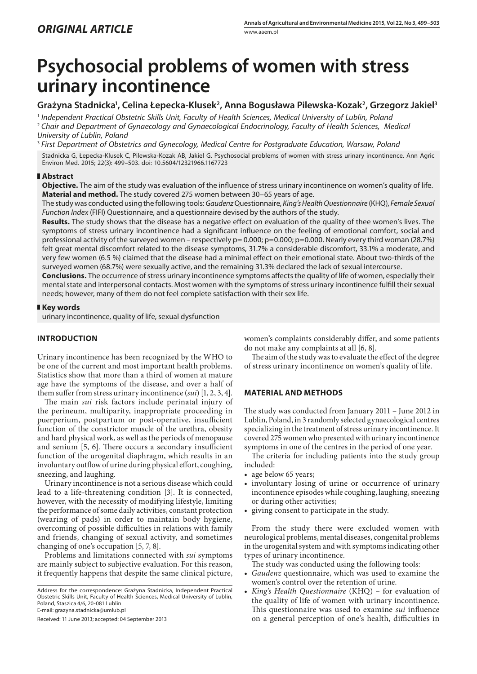# **Psychosocial problems of women with stress urinary incontinence**

# **Grażyna Stadnicka1 , Celina Łepecka-Klusek2 , Anna Bogusława Pilewska-Kozak2 , Grzegorz Jakiel3**

<sup>1</sup> *Independent Practical Obstetric Skills Unit, Faculty of Health Sciences, Medical University of Lublin, Poland* <sup>2</sup> *Chair and Department of Gynaecology and Gynaecological Endocrinology, Faculty of Health Sciences, Medical University of Lublin, Poland*

<sup>3</sup> *First Department of Obstetrics and Gynecology, Medical Centre for Postgraduate Education, Warsaw, Poland*

Stadnicka G, Łepecka-Klusek C, Pilewska-Kozak AB, Jakiel G. Psychosocial problems of women with stress urinary incontinence. Ann Agric Environ Med. 2015; 22(3): 499–503. doi: 10.5604/12321966.1167723

## **Abstract**

**Objective.** The aim of the study was evaluation of the influence of stress urinary incontinence on women's quality of life. **Material and method.** The study covered 275 women between 30–65 years of age.

The study was conducted using the following tools: *Gaudenz* Questionnaire, *King's HealthQuestionnaire* (KHQ), *Female Sexual Function Index* (FIFI) Questionnaire, and a questionnaire devised by the authors of the study.

**Results.** The study shows that the disease has a negative effect on evaluation of the quality of thee women's lives. The symptoms of stress urinary incontinence had a significant influence on the feeling of emotional comfort, social and professional activity of the surveyed women – respectively  $p=0.000$ ;  $p=0.000$ ;  $p=0.000$ . Nearly every third woman (28.7%) felt great mental discomfort related to the disease symptoms, 31.7% a considerable discomfort, 33.1% a moderate, and very few women (6.5 %) claimed that the disease had a minimal effect on their emotional state. About two-thirds of the surveyed women (68.7%) were sexually active, and the remaining 31.3% declared the lack of sexual intercourse.

**Conclusions.** The occurrence of stress urinary incontinence symptoms affects the quality of life of women, especially their mental state and interpersonal contacts. Most women with the symptoms of stress urinary incontinence fulfill their sexual needs; however, many of them do not feel complete satisfaction with their sex life.

## **Key words**

urinary incontinence, quality of life, sexual dysfunction

# **INTRODUCTION**

Urinary incontinence has been recognized by the WHO to be one of the current and most important health problems. Statistics show that more than a third of women at mature age have the symptoms of the disease, and over a half of them suffer from stress urinary incontinence (*sui*) [1, 2, 3, 4].

The main *sui* risk factors include perinatal injury of the perineum, multiparity, inappropriate proceeding in puerperium, postpartum or post-operative, insufficient function of the constrictor muscle of the urethra, obesity and hard physical work, as well as the periods of menopause and senium [5, 6]. There occurs a secondary insufficient function of the urogenital diaphragm, which results in an involuntary outflow of urine during physical effort, coughing, sneezing, and laughing.

Urinary incontinence is not a serious disease which could lead to a life-threatening condition [3]. It is connected, however, with the necessity of modifying lifestyle, limiting the performance of some daily activities, constant protection (wearing of pads) in order to maintain body hygiene, overcoming of possible difficulties in relations with family and friends, changing of sexual activity, and sometimes changing of one's occupation [5, 7, 8].

Problems and limitations connected with *sui* symptoms are mainly subject to subjective evaluation. For this reason, it frequently happens that despite the same clinical picture,

Address for the correspondence: Grażyna Stadnicka, Independent Practical Obstetric Skills Unit, Faculty of Health Sciences, Medical University of Lublin, Poland, Staszica 4/6, 20-081 Lublin E-mail: grazyna.stadnicka@umlub.pl

Received: 11 June 2013; accepted: 04 September 2013

women's complaints considerably differ, and some patients do not make any complaints at all [6, 8].

The aim of the study was to evaluate the effect of the degree of stress urinary incontinence on women's quality of life.

# **MATERIAL AND METHODS**

The study was conducted from January 2011 – June 2012 in Lublin, Poland, in 3 randomly selected gynaecological centres specializing in the treatment of stress urinary incontinence. It covered 275 women who presented with urinary incontinence symptoms in one of the centres in the period of one year.

The criteria for including patients into the study group included:

- age below 65 years;
- involuntary losing of urine or occurrence of urinary incontinence episodes while coughing, laughing, sneezing or during other activities;
- • giving consent to participate in the study.

From the study there were excluded women with neurological problems, mental diseases, congenital problems in the urogenital system and with symptoms indicating other types of urinary incontinence.

The study was conducted using the following tools:

- Gaudenz questionnaire, which was used to examine the women's control over the retention of urine*.*
- • *King's Health Questionnaire* (KHQ) for evaluation of the quality of life of women with urinary incontinence. This questionnaire was used to examine *sui* influence on a general perception of one's health, difficulties in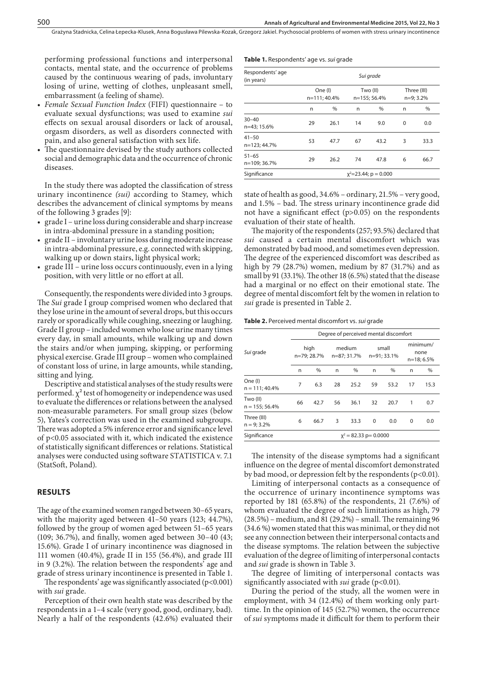performing professional functions and interpersonal contacts, mental state, and the occurrence of problems caused by the continuous wearing of pads, involuntary losing of urine, wetting of clothes, unpleasant smell, embarrassment (a feeling of shame).

- • *Female Sexual Function Index* (FIFI) questionnaire to evaluate sexual dysfunctions; was used to examine *sui* effects on sexual arousal disorders or lack of arousal, orgasm disorders, as well as disorders connected with pain, and also general satisfaction with sex life.
- The questionnaire devised by the study authors collected social and demographic data and the occurrence of chronic diseases.

In the study there was adopted the classification of stress urinary incontinence *(sui)* according to Stamey, which describes the advancement of clinical symptoms by means of the following 3 grades [9]:

- grade I urine loss during considerable and sharp increase in intra-abdominal pressure in a standing position;
- grade II involuntary urine loss during moderate increase in intra-abdominal pressure, e.g. connected with skipping, walking up or down stairs, light physical work;
- grade III urine loss occurs continuously, even in a lying position, with very little or no effort at all.

Consequently, the respondents were divided into 3 groups. The *Sui* grade I group comprised women who declared that they lose urine in the amount of several drops, but this occurs rarely or sporadically while coughing, sneezing or laughing. Grade II group – included women who lose urine many times every day, in small amounts, while walking up and down the stairs and/or when jumping, skipping, or performing physical exercise. Grade III group – women who complained of constant loss of urine, in large amounts, while standing, sitting and lying.

Descriptive and statistical analyses of the study results were performed.  $\chi^2$  test of homogeneity or independence was used to evaluate the differences or relations between the analysed non-measurable parameters. For small group sizes (below 5), Yates's correction was used in the examined subgroups. There was adopted a 5% inference error and significance level of p<0.05 associated with it, which indicated the existence of statistically significant differences or relations. Statistical analyses were conducted using software STATISTICA v. 7.1 (StatSoft, Poland).

#### **RESULTS**

The age of the examined women ranged between 30–65 years, with the majority aged between 41–50 years (123; 44.7%), followed by the group of women aged between 51–65 years (109; 36.7%), and finally, women aged between 30–40 (43; 15.6%). Grade I of urinary incontinence was diagnosed in 111 women (40.4%), grade II in 155 (56.4%), and grade III in 9 (3.2%). The relation between the respondents' age and grade of stress urinary incontinence is presented in Table 1.

The respondents' age was significantly associated (p<0.001) with *sui* grade.

Perception of their own health state was described by the respondents in a 1–4 scale (very good, good, ordinary, bad). Nearly a half of the respondents (42.6%) evaluated their

#### **Table 1.** Respondents' age vs. *sui* grade

| Respondents' age<br>(in years) | Sui grade               |                         |    |                          |          |                            |  |  |  |  |
|--------------------------------|-------------------------|-------------------------|----|--------------------------|----------|----------------------------|--|--|--|--|
|                                |                         | One (I)<br>n=111; 40.4% |    | Two (II)<br>n=155; 56.4% |          | Three (III)<br>$n=9; 3.2%$ |  |  |  |  |
|                                | n                       | %                       | n  | %                        | n        | %                          |  |  |  |  |
| $30 - 40$<br>n=43; 15.6%       | 29                      | 26.1                    | 14 | 9.0                      | $\Omega$ | 0.0                        |  |  |  |  |
| $41 - 50$<br>n=123; 44.7%      | 53                      | 47.7                    | 67 | 43.2                     | 3        | 33.3                       |  |  |  |  |
| $51 - 65$<br>n=109; 36.7%      | 29                      | 26.2                    | 74 | 47.8                     | 6        | 66.7                       |  |  |  |  |
| Significance                   | $x^2$ =23.44; p = 0.000 |                         |    |                          |          |                            |  |  |  |  |

state of health as good, 34.6% – ordinary, 21.5% – very good, and 1.5% – bad. The stress urinary incontinence grade did not have a significant effect (p>0.05) on the respondents evaluation of their state of health.

The majority of the respondents (257; 93.5%) declared that *sui* caused a certain mental discomfort which was demonstrated by bad mood, and sometimes even depression. The degree of the experienced discomfort was described as high by 79 (28.7%) women, medium by 87 (31.7%) and as small by 91 (33.1%). The other 18 (6.5%) stated that the disease had a marginal or no effect on their emotional state. The degree of mental discomfort felt by the women in relation to *sui* grade is presented in Table 2.

**Table 2.** Perceived mental discomfort vs. *sui* grade

|                              |                     | Degree of perceived mental discomfort |    |                       |          |                      |                                  |      |  |  |  |
|------------------------------|---------------------|---------------------------------------|----|-----------------------|----------|----------------------|----------------------------------|------|--|--|--|
| Sui grade                    | high<br>n=79; 28.7% |                                       |    | medium<br>n=87; 31.7% |          | small<br>n=91; 33.1% | minimum/<br>none<br>$n=18; 6.5%$ |      |  |  |  |
|                              | n                   | %                                     | n  | %                     | n        | $\%$                 | n                                | $\%$ |  |  |  |
| One (I)<br>$n = 111; 40.4%$  | 7                   | 6.3                                   | 28 | 25.2                  | 59       | 53.2                 | 17                               | 15.3 |  |  |  |
| Two (II)<br>$n = 155; 56.4%$ | 66                  | 42.7                                  | 56 | 36.1                  | 32       | 20.7                 | 1                                | 0.7  |  |  |  |
| Three (III)<br>$n = 9:3.2%$  | 6                   | 66.7                                  | 3  | 33.3                  | $\Omega$ | 0.0                  | $\Omega$                         | 0.0  |  |  |  |
| Significance                 |                     | $x^2 = 82.33$ p= 0.0000               |    |                       |          |                      |                                  |      |  |  |  |

The intensity of the disease symptoms had a significant influence on the degree of mental discomfort demonstrated by bad mood, or depression felt by the respondents (p<0.01).

Limiting of interpersonal contacts as a consequence of the occurrence of urinary incontinence symptoms was reported by 181 (65.8%) of the respondents, 21 (7.6%) of whom evaluated the degree of such limitations as high, 79 (28.5%) – medium, and 81 (29.2%) – small. The remaining 96 (34.6 %) women stated that this was minimal, or they did not see any connection between their interpersonal contacts and the disease symptoms. The relation between the subjective evaluation of the degree of limiting of interpersonal contacts and *sui* grade is shown in Table 3.

The degree of limiting of interpersonal contacts was significantly associated with *sui* grade (p<0.01).

During the period of the study, all the women were in employment, with 34 (12.4%) of them working only parttime. In the opinion of 145 (52.7%) women, the occurrence of *sui* symptoms made it difficult for them to perform their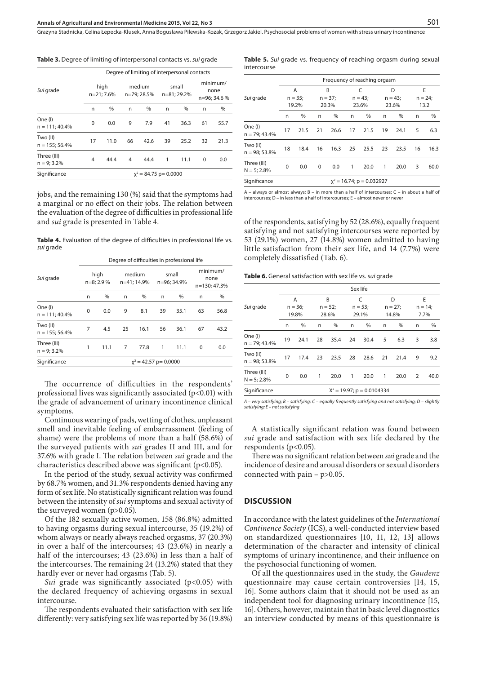Grażyna Stadnicka, Celina Łepecka-Klusek, Anna Bogusława Pilewska-Kozak, Grzegorz Jakiel . Psychosocial problems of women with stress urinary incontinence

**Table 3.** Degree of limiting of interpersonal contacts vs. *sui* grade

|                              |                    | Degree of limiting of interpersonal contacts |    |                       |    |                      |                                  |      |  |  |  |
|------------------------------|--------------------|----------------------------------------------|----|-----------------------|----|----------------------|----------------------------------|------|--|--|--|
| Sui grade                    | high<br>n=21; 7.6% |                                              |    | medium<br>n=79; 28.5% |    | small<br>n=81; 29.2% | minimum/<br>none<br>n=96; 34.6 % |      |  |  |  |
|                              | n                  | $\%$                                         | n  | %                     | n  | %                    | n                                | $\%$ |  |  |  |
| One (I)<br>$n = 111; 40.4%$  | $\Omega$           | 0.0                                          | 9  | 7.9                   | 41 | 36.3                 | 61                               | 55.7 |  |  |  |
| Two (II)<br>$n = 155; 56.4%$ | 17                 | 11.0                                         | 66 | 42.6                  | 39 | 25.2                 | 32                               | 21.3 |  |  |  |
| Three (III)<br>$n = 9; 3.2%$ | 4                  | 44.4                                         | 4  | 44.4                  | 1  | 11.1                 | $\Omega$                         | 0.0  |  |  |  |
| Significance                 |                    | $x^2 = 84.75$ p= 0.0000                      |    |                       |    |                      |                                  |      |  |  |  |

jobs, and the remaining 130 (%) said that the symptoms had a marginal or no effect on their jobs. The relation between the evaluation of the degree of difficulties in professional life and *sui* grade is presented in Table 4.

Table 4. Evaluation of the degree of difficulties in professional life vs. *sui* grade

|                              |                     | Degree of difficulties in professional life |                       |      |                      |      |    |                                  |  |  |  |  |
|------------------------------|---------------------|---------------------------------------------|-----------------------|------|----------------------|------|----|----------------------------------|--|--|--|--|
| Sui grade                    | high<br>$n=8; 2.9%$ |                                             | medium<br>n=41; 14.9% |      | small<br>n=96; 34.9% |      |    | minimum/<br>none<br>n=130; 47.3% |  |  |  |  |
|                              | n                   | $\%$                                        | n                     | %    | n                    | $\%$ | n  | %                                |  |  |  |  |
| One (I)<br>$n = 111; 40.4%$  | $\Omega$            | 0.0                                         | 9                     | 8.1  | 39                   | 35.1 | 63 | 56.8                             |  |  |  |  |
| Two (II)<br>$n = 155; 56.4%$ | 7                   | 4.5                                         | 25                    | 16.1 | 56                   | 36.1 | 67 | 43.2                             |  |  |  |  |
| Three (III)<br>$n = 9:3.2%$  | 1                   | 11.1                                        | 7                     | 77.8 | 1                    | 11.1 | 0  | 0.0                              |  |  |  |  |
| Significance                 |                     | $x^2 = 42.57$ p= 0.0000                     |                       |      |                      |      |    |                                  |  |  |  |  |

The occurrence of difficulties in the respondents' professional lives was significantly associated  $(p<0.01)$  with the grade of advancement of urinary incontinence clinical symptoms.

Continuous wearing of pads, wetting of clothes, unpleasant smell and inevitable feeling of embarrassment (feeling of shame) were the problems of more than a half (58.6%) of the surveyed patients with *sui* grades II and III, and for 37.6% with grade I. The relation between *sui* grade and the characteristics described above was significant ( $p$ <0.05).

In the period of the study, sexual activity was confirmed by 68.7% women, and 31.3% respondents denied having any form of sex life. No statistically significant relation was found between the intensity of *sui* symptoms and sexual activity of the surveyed women (p>0.05).

Of the 182 sexually active women, 158 (86.8%) admitted to having orgasms during sexual intercourse, 35 (19.2%) of whom always or nearly always reached orgasms, 37 (20.3%) in over a half of the intercourses; 43 (23.6%) in nearly a half of the intercourses; 43 (23.6%) in less than a half of the intercourses. The remaining 24 (13.2%) stated that they hardly ever or never had orgasms (Tab. 5).

Sui grade was significantly associated (p<0.05) with the declared frequency of achieving orgasms in sexual intercourse.

The respondents evaluated their satisfaction with sex life differently: very satisfying sex life was reported by 36 (19.8%)

Table 5. Sui grade vs. frequency of reaching orgasm during sexual intercourse

|                              |                              |       |          |                         |    |                         | Frequency of reaching orgasm |                         |    |                         |  |  |  |  |  |
|------------------------------|------------------------------|-------|----------|-------------------------|----|-------------------------|------------------------------|-------------------------|----|-------------------------|--|--|--|--|--|
| Sui grade                    | Α<br>$n = 35;$               |       |          | B<br>$n = 37;$<br>20.3% |    | C<br>$n = 43;$<br>23.6% |                              | D<br>$n = 43:$<br>23.6% |    | E<br>$n = 24$ ;<br>13.2 |  |  |  |  |  |
|                              |                              |       |          |                         |    |                         |                              |                         |    |                         |  |  |  |  |  |
|                              |                              | 19.2% |          |                         |    |                         |                              |                         |    |                         |  |  |  |  |  |
|                              | n                            | %     | n        | %                       | n  | %                       | n                            | $\%$                    | n  | %                       |  |  |  |  |  |
| One (I)<br>$n = 79; 43.4%$   | 17                           | 21.5  | 21       | 26.6                    | 17 | 21.5                    | 19                           | 24.1                    | 5  | 6.3                     |  |  |  |  |  |
| Two (II)<br>$n = 98; 53.8%$  | 18                           | 18.4  | 16       | 16.3                    | 25 | 25.5                    | 23                           | 23.5                    | 16 | 16.3                    |  |  |  |  |  |
| Three (III)<br>$N = 5; 2.8%$ | $\Omega$                     | 0.0   | $\Omega$ | 0.0                     | 1  | 20.0                    | 1                            | 20.0                    | 3  | 60.0                    |  |  |  |  |  |
| Significance                 | $x^2 = 16.74$ ; p = 0.032927 |       |          |                         |    |                         |                              |                         |    |                         |  |  |  |  |  |

A – always or almost always; B – in more than a half of intercourses; C – in about a half of intercourses; D – in less than a half of intercourses; E – almost never or never

of the respondents, satisfying by 52 (28.6%), equally frequent satisfying and not satisfying intercourses were reported by 53 (29.1%) women, 27 (14.8%) women admitted to having little satisfaction from their sex life, and 14 (7.7%) were completely dissatisfied (Tab. 6).

**Table 6.** General satisfaction with sex life vs. s*ui* grade

| Sui grade                    |                | Sex life                      |    |                    |    |                         |    |                          |                |                       |  |  |
|------------------------------|----------------|-------------------------------|----|--------------------|----|-------------------------|----|--------------------------|----------------|-----------------------|--|--|
|                              | Α<br>$n = 36;$ |                               | B  |                    |    | C<br>$n = 53;$<br>29.1% |    | D<br>$n = 27$ :<br>14.8% |                | E<br>$n = 14$<br>7.7% |  |  |
|                              |                |                               |    | $n = 52;$<br>28.6% |    |                         |    |                          |                |                       |  |  |
|                              |                | 19.8%                         |    |                    |    |                         |    |                          |                |                       |  |  |
|                              | n              | %                             | n  | %                  | n  | $\%$                    | n  | %                        | n              | %                     |  |  |
| One (I)<br>$n = 79; 43.4%$   | 19             | 24.1                          | 28 | 35.4               | 24 | 30.4                    | 5  | 6.3                      | 3              | 3.8                   |  |  |
| Two (II)<br>$n = 98; 53.8%$  | 17             | 17.4                          | 23 | 23.5               | 28 | 28.6                    | 21 | 21.4                     | 9              | 9.2                   |  |  |
| Three (III)<br>$N = 5; 2.8%$ | 0              | 0.0                           | 1  | 20.0               | 1  | 20.0                    | 1  | 20.0                     | $\overline{2}$ | 40.0                  |  |  |
| Significance                 |                | $X^2 = 19.97$ ; p = 0.0104334 |    |                    |    |                         |    |                          |                |                       |  |  |

*A – very satisfying; B – satisfying; C – equally frequently satisfying and not satisfying; D – slightly satisfying; E – not satisfying*

A statistically significant relation was found between *sui* grade and satisfaction with sex life declared by the respondents (p<0.05).

There was no significant relation between *sui* grade and the incidence of desire and arousal disorders or sexual disorders connected with pain – p>0.05.

## **DISCUSSION**

In accordance with the latest guidelines of the *International Continence Society* (ICS), a well-conducted interview based on standardized questionnaires [10, 11, 12, 13] allows determination of the character and intensity of clinical symptoms of urinary incontinence, and their influence on the psychosocial functioning of women.

Of all the questionnaires used in the study, the *Gaudenz*  questionnaire may cause certain controversies [14, 15, 16]. Some authors claim that it should not be used as an independent tool for diagnosing urinary incontinence [15, 16]. Others, however, maintain that in basic level diagnostics an interview conducted by means of this questionnaire is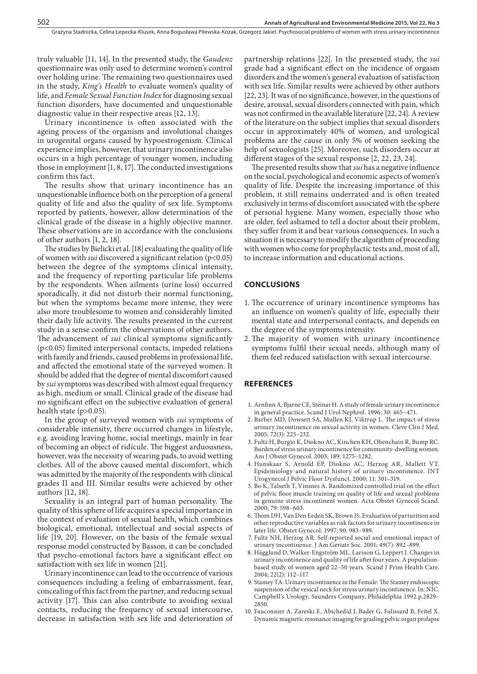truly valuable [11, 14]. In the presented study, the *Gaudenz* questionnaire was only used to determine women's control over holding urine*.* The remaining two questionnaires used in the study, *King's Health* to evaluate women's quality of life, and *Female Sexual Function Index* for diagnosing sexual function disorders, have documented and unquestionable diagnostic value in their respective areas [12, 13].

Urinary incontinence is often associated with the ageing process of the organism and involutional changes in urogenital organs caused by hypoestrogenism. Clinical experience implies, however, that urinary incontinence also occurs in a high percentage of younger women, including those in employment [1, 8, 17]. The conducted investigations confirm this fact.

The results show that urinary incontinence has an unquestionable influence both on the perception of a general quality of life and also the quality of sex life. Symptoms reported by patients, however, allow determination of the clinical grade of the disease in a highly objective manner. These observations are in accordance with the conclusions of other authors [1, 2, 18].

The studies by Bielicki et al. [18] evaluating the quality of life of women with *sui* discovered a significant relation (p<0.05) between the degree of the symptoms clinical intensity, and the frequency of reporting particular life problems by the respondents. When ailments (urine loss) occurred sporadically, it did not disturb their normal functioning, but when the symptoms became more intense, they were also more troublesome to women and considerably limited their daily life activity. The results presented in the current study in a sense confirm the observations of other authors. The advancement of *sui* clinical symptoms significantly (p<0.05) limited interpersonal contacts, impeded relations with family and friends, caused problems in professional life, and affected the emotional state of the surveyed women. It should be added that the degree of mental discomfort caused by *sui* symptoms was described with almost equal frequency as high, medium or small. Clinical grade of the disease had no significant effect on the subjective evaluation of general health state (p>0.05).

In the group of surveyed women with *sui* symptoms of considerable intensity, there occurred changes in lifestyle, e.g. avoiding leaving home, social meetings, mainly in fear of becoming an object of ridicule. The biggest arduousness, however, was the necessity of wearing pads, to avoid wetting clothes. All of the above caused mental discomfort, which was admitted by the majority of the respondents with clinical grades II and III. Similar results were achieved by other authors [12, 18].

Sexuality is an integral part of human personality. The quality of this sphere of life acquires a special importance in the context of evaluation of sexual health, which combines biological, emotional, intellectual and social aspects of life [19, 20]. However, on the basis of the female sexual response model constructed by Basson, it can be concluded that psycho-emotional factors have a significant effect on satisfaction with sex life in women [21].

Urinary incontinence can lead to the occurrence of various consequences including a feeling of embarrassment, fear, concealing of this fact from the partner, and reducing sexual activity [17]. This can also contribute to avoiding sexual contacts, reducing the frequency of sexual intercourse, decrease in satisfaction with sex life and deterioration of partnership relations [22]. In the presented study, the *sui*  grade had a significant effect on the incidence of orgasm disorders and the women's general evaluation of satisfaction with sex life. Similar results were achieved by other authors [22, 23]. It was of no significance, however, in the questions of desire, arousal, sexual disorders connected with pain, which was not confirmed in the available literature [22, 24]. A review of the literature on the subject implies that sexual disorders occur in approximately 40% of women, and urological problems are the cause in only 5% of women seeking the help of sexuologists [25]. Moreover, such disorders occur at different stages of the sexual response [2, 22, 23, 24].

The presented results show that *sui* has a negative influence on the social, psychological and economic aspects of women's quality of life. Despite the increasing importance of this problem, it still remains underrated and is often treated exclusively in terms of discomfort associated with the sphere of personal hygiene. Many women, especially those who are older, feel ashamed to tell a doctor about their problem, they suffer from it and bear various consequences. In such a situation it is necessary to modify the algorithm of proceeding with women who come for prophylactic tests and, most of all, to increase information and educational actions.

## **CONCLUSIONS**

- 1. The occurrence of urinary incontinence symptoms has an influence on women's quality of life, especially their mental state and interpersonal contacts, and depends on the degree of the symptoms intensity.
- 2.The majority of women with urinary incontinence symptoms fulfil their sexual needs, although many of them feel reduced satisfaction with sexual intercourse.

## **REFERENCES**

- 1. Arnfinn A, Bjarne CE, Steinar H. A study of female urinary incontinence in general practice. Scand J Urol Nephrol. 1996; 30: 465–471.
- 2. [Barber MD](http://www.ncbi.nlm.nih.gov/pubmed?term=%22Barber%20MD%22%5BAuthor%5D), [Dowsett SA](http://www.ncbi.nlm.nih.gov/pubmed?term=%22Dowsett%20SA%22%5BAuthor%5D), [Mullen KJ](http://www.ncbi.nlm.nih.gov/pubmed?term=%22Mullen%20KJ%22%5BAuthor%5D), [Viktrup L.](http://www.ncbi.nlm.nih.gov/pubmed?term=%22Viktrup%20L%22%5BAuthor%5D) The impact of stress urinary incontinence on sexual activity in women. [Cleve Clin J Med.](file:///E:/InstytutMedycynyWsi/AAEM/22_3/_Dane/18_832/javascript:AL_get(this,%20) 2005; 72(3): 225–232.
- 3. Fultz H, Burgio K, Diokno AC, Kinchen KH, Obenchain R, Bump RC. Burden of stress urinary incontinence for community-dwelling women. Am J Obstet Gynecol. 2003; 189: 1275–1282.
- 4. Hunskaar S, Arnold EP, Diokno AC, Herzog AR, Mallett VT. Epidemiology and natural history of urinary incontinence. INT Urogynecol J Pelvic Floor Dysfunct. 2000; 11: 301–319.
- 5. Bo K, Talseth T, Vinsnes A. Randomized controlled trial on the effect of pelvic floor muscle training on quality of life and sexual problems in genuine stress incontinent women. Acta Obstet Gynecol Scand. 2000; 79: 598–603.
- 6. Thom DH, Van Den Eeden SK, Brown JS. Evaluation of parturition and other reproductive variables as risk factors for urinary incontinence in later life. Obstet Gynecol. 1997; 90: 983–989.
- 7. [Fultz NH](http://www.ncbi.nlm.nih.gov/pubmed?term=%22Fultz%20NH%22%5BAuthor%5D), [Herzog AR.](http://www.ncbi.nlm.nih.gov/pubmed?term=%22Herzog%20AR%22%5BAuthor%5D) Self-reported social and emotional impact of urinary incontinence. [J Am Geriatr Soc.](file:///E:/InstytutMedycynyWsi/AAEM/22_3/_Dane/18_832/javascript:AL_get(this,%20) 2001; 49(7): 892–899.
- 8. [Hägglund D,](http://www.ncbi.nlm.nih.gov/pubmed?term=%22H%C3%A4gglund%20D%22%5BAuthor%5D) [Walker-Engström ML,](http://www.ncbi.nlm.nih.gov/pubmed?term=%22Walker-Engstr%C3%B6m%20ML%22%5BAuthor%5D) [Larsson G,](http://www.ncbi.nlm.nih.gov/pubmed?term=%22Larsson%20G%22%5BAuthor%5D) [Leppert J.](http://www.ncbi.nlm.nih.gov/pubmed?term=%22Leppert%20J%22%5BAuthor%5D) Changes in urinary incontinence and quality of life after four years. A populationbased study of women aged 22–50 years. [Scand J Prim Health Care.](file:///E:/InstytutMedycynyWsi/AAEM/22_3/_Dane/18_832/javascript:AL_get(this,%20) 2004; 22(2): 112–117.
- 9. Stamey TA. Urinary incontinence in the Female: The Stamey endoscopic suspension of the vesical neck for stress urinary incontinence. In: NIC. Campbell's Urology, Saunders Company, Philadelphia 1992.p.2829– 2850.
- 10. Fauconnier A, Zareski E, Abichedid J, [Bader G](http://www.ncbi.nlm.nih.gov/pubmed?term=%22Bader%20G%22%5BAuthor%5D), [Falissard B,](http://www.ncbi.nlm.nih.gov/pubmed?term=%22Falissard%20B%22%5BAuthor%5D) [Fritel X.](http://www.ncbi.nlm.nih.gov/pubmed?term=%22Fritel%20X%22%5BAuthor%5D) Dynamic magnetic resonance imaging for grading pelvic organ prolapse